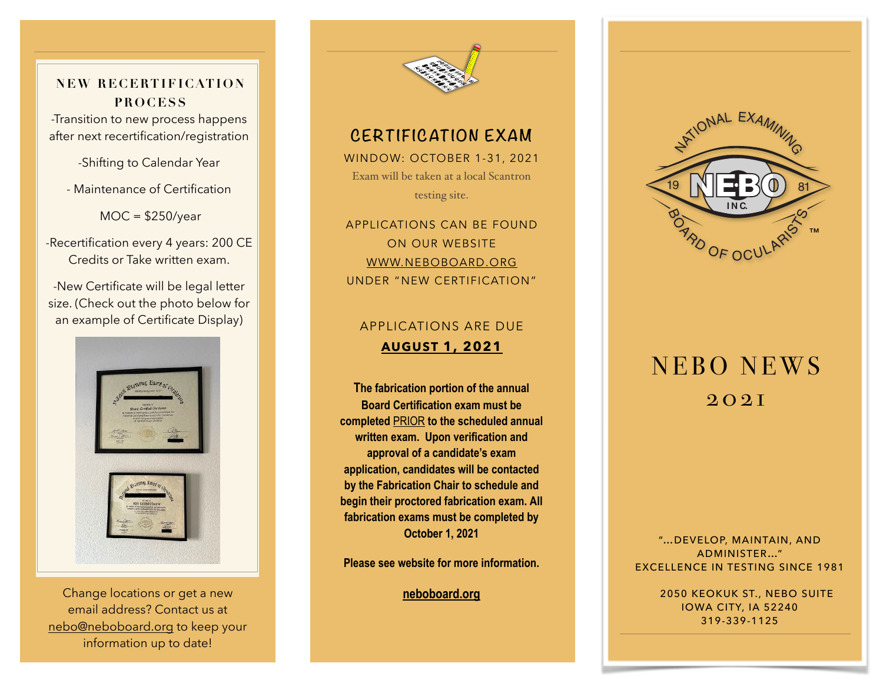**NEW RECERTIFICATION PROCESS**

-Transition to new process happens after next recertification/registration

-Shifting to Calendar Year

- Maintenance of Certification

MOC = \$250/year

-Recertification every 4 years: 200 CE Credits or Take written exam.

-New Certificate will be legal letter size. (Check out the photo below for an example of Certificate Display)



Change locations or get a new **[neboboard.org](http://neboboard.org)** email address? Contact us at [nebo@neboboard.org](mailto:nebo@neboboard.org) to keep your information up to date!



### **CERTIFICATION EXAM**

WINDOW: OCTOBER 1-31, 2021 Exam will be taken at a local Scantron testing site.

APPLICATIONS CAN BE FOUND ON OUR WEBSITE [WWW.NEBOBOARD.ORG](http://www.neboboard.org) UNDER "NEW CERTIFICATION"

#### APPLICATIONS ARE DUE **AUGUST 1, 2021**

**The fabrication portion of the annual Board Certification exam must be completed** PRIOR **to the scheduled annual written exam. Upon verification and approval of a candidate's exam application, candidates will be contacted by the Fabrication Chair to schedule and begin their proctored fabrication exam. All fabrication exams must be completed by October 1, 2021** 

**Please see website for more information.** 



# NEBO NEWS 2021

"…DEVELOP, MAINTAIN, AND ADMINISTER…" EXCELLENCE IN TESTING SINCE 1981

> 2050 KEOKUK ST., NEBO SUITE IOWA CITY, IA 52240 319-339-1125